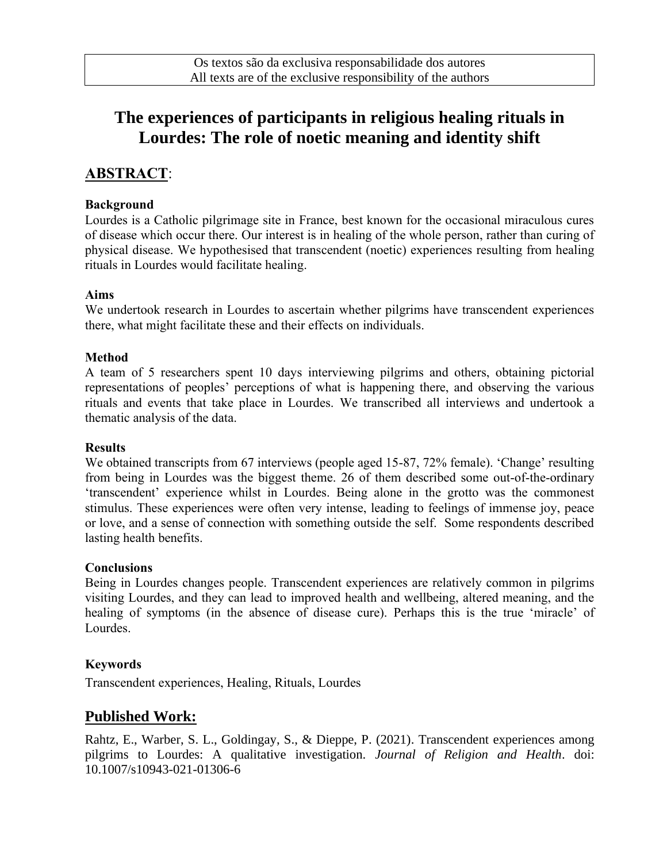# **The experiences of participants in religious healing rituals in Lourdes: The role of noetic meaning and identity shift**

## **ABSTRACT**:

#### **Background**

Lourdes is a Catholic pilgrimage site in France, best known for the occasional miraculous cures of disease which occur there. Our interest is in healing of the whole person, rather than curing of physical disease. We hypothesised that transcendent (noetic) experiences resulting from healing rituals in Lourdes would facilitate healing.

#### **Aims**

We undertook research in Lourdes to ascertain whether pilgrims have transcendent experiences there, what might facilitate these and their effects on individuals.

#### **Method**

A team of 5 researchers spent 10 days interviewing pilgrims and others, obtaining pictorial representations of peoples' perceptions of what is happening there, and observing the various rituals and events that take place in Lourdes. We transcribed all interviews and undertook a thematic analysis of the data.

#### **Results**

We obtained transcripts from 67 interviews (people aged 15-87, 72% female). 'Change' resulting from being in Lourdes was the biggest theme. 26 of them described some out-of-the-ordinary 'transcendent' experience whilst in Lourdes. Being alone in the grotto was the commonest stimulus. These experiences were often very intense, leading to feelings of immense joy, peace or love, and a sense of connection with something outside the self. Some respondents described lasting health benefits.

#### **Conclusions**

Being in Lourdes changes people. Transcendent experiences are relatively common in pilgrims visiting Lourdes, and they can lead to improved health and wellbeing, altered meaning, and the healing of symptoms (in the absence of disease cure). Perhaps this is the true 'miracle' of Lourdes.

#### **Keywords**

Transcendent experiences, Healing, Rituals, Lourdes

### **Published Work:**

Rahtz, E., Warber, S. L., Goldingay, S., & Dieppe, P. (2021). Transcendent experiences among pilgrims to Lourdes: A qualitative investigation. *Journal of Religion and Health*. doi: 10.1007/s10943-021-01306-6